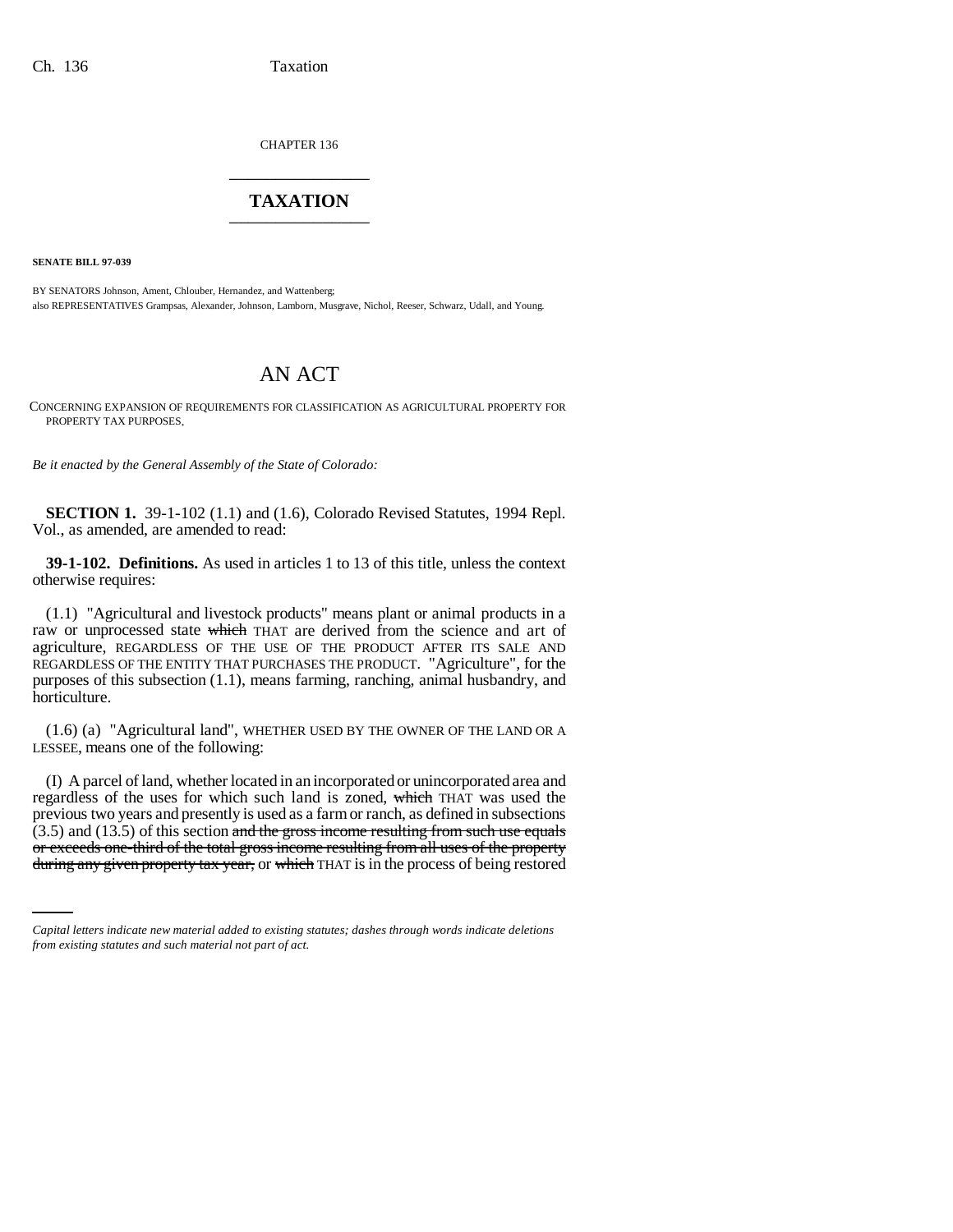CHAPTER 136 \_\_\_\_\_\_\_\_\_\_\_\_\_\_\_

## **TAXATION** \_\_\_\_\_\_\_\_\_\_\_\_\_\_\_

**SENATE BILL 97-039**

BY SENATORS Johnson, Ament, Chlouber, Hernandez, and Wattenberg; also REPRESENTATIVES Grampsas, Alexander, Johnson, Lamborn, Musgrave, Nichol, Reeser, Schwarz, Udall, and Young.

## AN ACT

CONCERNING EXPANSION OF REQUIREMENTS FOR CLASSIFICATION AS AGRICULTURAL PROPERTY FOR PROPERTY TAX PURPOSES.

*Be it enacted by the General Assembly of the State of Colorado:*

**SECTION 1.** 39-1-102 (1.1) and (1.6), Colorado Revised Statutes, 1994 Repl. Vol., as amended, are amended to read:

**39-1-102. Definitions.** As used in articles 1 to 13 of this title, unless the context otherwise requires:

(1.1) "Agricultural and livestock products" means plant or animal products in a raw or unprocessed state which THAT are derived from the science and art of agriculture, REGARDLESS OF THE USE OF THE PRODUCT AFTER ITS SALE AND REGARDLESS OF THE ENTITY THAT PURCHASES THE PRODUCT. "Agriculture", for the purposes of this subsection (1.1), means farming, ranching, animal husbandry, and horticulture.

(1.6) (a) "Agricultural land", WHETHER USED BY THE OWNER OF THE LAND OR A LESSEE, means one of the following:

 $(3.5)$  and  $(13.5)$  of this section and the gross income resulting from such use equals (I) A parcel of land, whether located in an incorporated or unincorporated area and regardless of the uses for which such land is zoned, which THAT was used the previous two years and presently is used as a farm or ranch, as defined in subsections or exceeds one-third of the total gross income resulting from all uses of the property during any given property tax year, or which THAT is in the process of being restored

*Capital letters indicate new material added to existing statutes; dashes through words indicate deletions from existing statutes and such material not part of act.*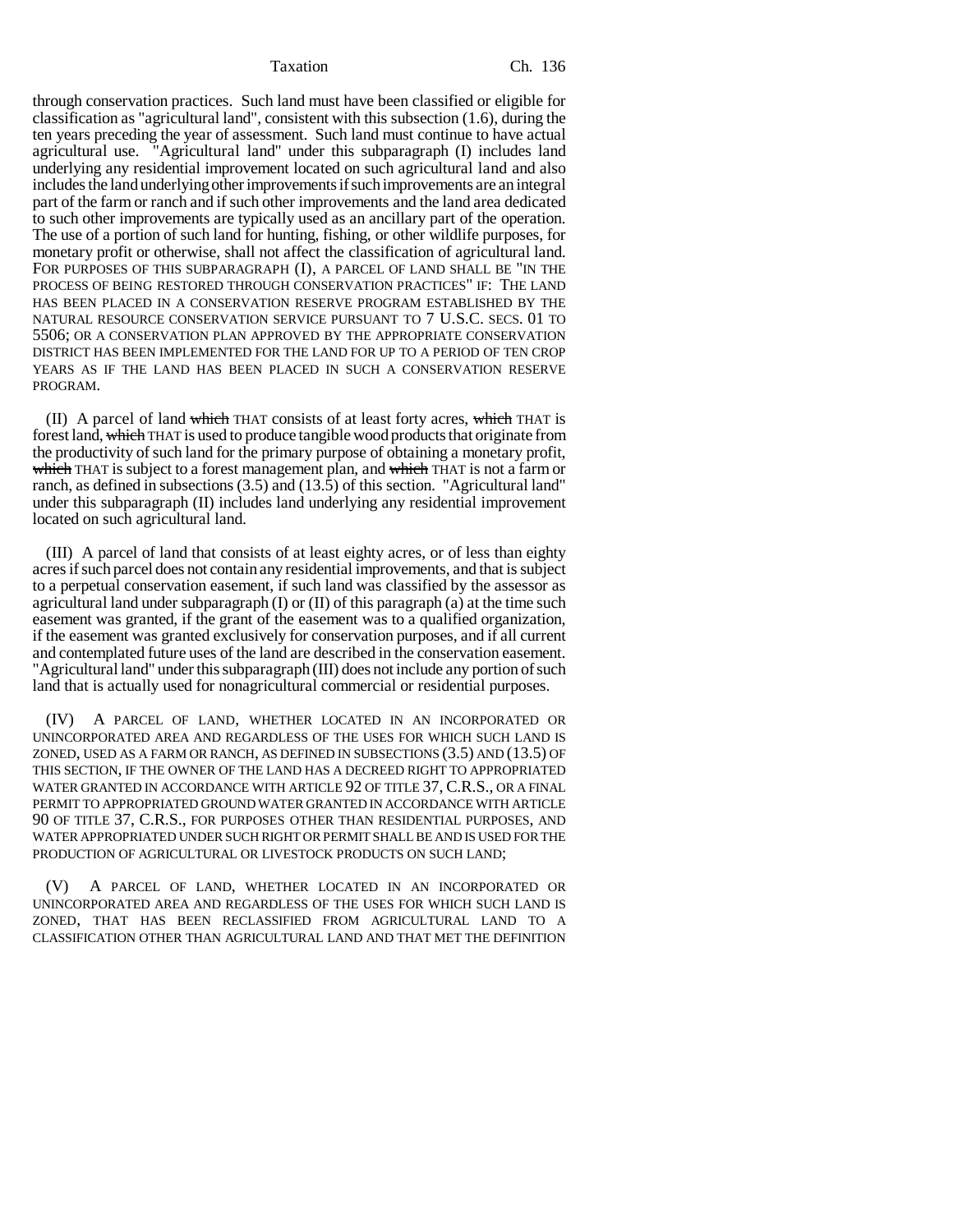Taxation Ch. 136

through conservation practices. Such land must have been classified or eligible for classification as "agricultural land", consistent with this subsection (1.6), during the ten years preceding the year of assessment. Such land must continue to have actual agricultural use. "Agricultural land" under this subparagraph (I) includes land underlying any residential improvement located on such agricultural land and also includes the land underlying other improvements if such improvements are an integral part of the farm or ranch and if such other improvements and the land area dedicated to such other improvements are typically used as an ancillary part of the operation. The use of a portion of such land for hunting, fishing, or other wildlife purposes, for monetary profit or otherwise, shall not affect the classification of agricultural land. FOR PURPOSES OF THIS SUBPARAGRAPH (I), A PARCEL OF LAND SHALL BE "IN THE PROCESS OF BEING RESTORED THROUGH CONSERVATION PRACTICES" IF: THE LAND HAS BEEN PLACED IN A CONSERVATION RESERVE PROGRAM ESTABLISHED BY THE NATURAL RESOURCE CONSERVATION SERVICE PURSUANT TO 7 U.S.C. SECS. 01 TO 5506; OR A CONSERVATION PLAN APPROVED BY THE APPROPRIATE CONSERVATION DISTRICT HAS BEEN IMPLEMENTED FOR THE LAND FOR UP TO A PERIOD OF TEN CROP YEARS AS IF THE LAND HAS BEEN PLACED IN SUCH A CONSERVATION RESERVE PROGRAM.

(II) A parcel of land which THAT consists of at least forty acres, which THAT is forest land, which THAT is used to produce tangible wood products that originate from the productivity of such land for the primary purpose of obtaining a monetary profit, which THAT is subject to a forest management plan, and which THAT is not a farm or ranch, as defined in subsections (3.5) and (13.5) of this section. "Agricultural land" under this subparagraph (II) includes land underlying any residential improvement located on such agricultural land.

(III) A parcel of land that consists of at least eighty acres, or of less than eighty acres if such parcel does not contain any residential improvements, and that is subject to a perpetual conservation easement, if such land was classified by the assessor as agricultural land under subparagraph (I) or  $(II)$  of this paragraph (a) at the time such easement was granted, if the grant of the easement was to a qualified organization, if the easement was granted exclusively for conservation purposes, and if all current and contemplated future uses of the land are described in the conservation easement. "Agricultural land" under this subparagraph (III) does not include any portion of such land that is actually used for nonagricultural commercial or residential purposes.

(IV) A PARCEL OF LAND, WHETHER LOCATED IN AN INCORPORATED OR UNINCORPORATED AREA AND REGARDLESS OF THE USES FOR WHICH SUCH LAND IS ZONED, USED AS A FARM OR RANCH, AS DEFINED IN SUBSECTIONS (3.5) AND (13.5) OF THIS SECTION, IF THE OWNER OF THE LAND HAS A DECREED RIGHT TO APPROPRIATED WATER GRANTED IN ACCORDANCE WITH ARTICLE 92 OF TITLE 37, C.R.S., OR A FINAL PERMIT TO APPROPRIATED GROUND WATER GRANTED IN ACCORDANCE WITH ARTICLE 90 OF TITLE 37, C.R.S., FOR PURPOSES OTHER THAN RESIDENTIAL PURPOSES, AND WATER APPROPRIATED UNDER SUCH RIGHT OR PERMIT SHALL BE AND IS USED FOR THE PRODUCTION OF AGRICULTURAL OR LIVESTOCK PRODUCTS ON SUCH LAND;

(V) A PARCEL OF LAND, WHETHER LOCATED IN AN INCORPORATED OR UNINCORPORATED AREA AND REGARDLESS OF THE USES FOR WHICH SUCH LAND IS ZONED, THAT HAS BEEN RECLASSIFIED FROM AGRICULTURAL LAND TO A CLASSIFICATION OTHER THAN AGRICULTURAL LAND AND THAT MET THE DEFINITION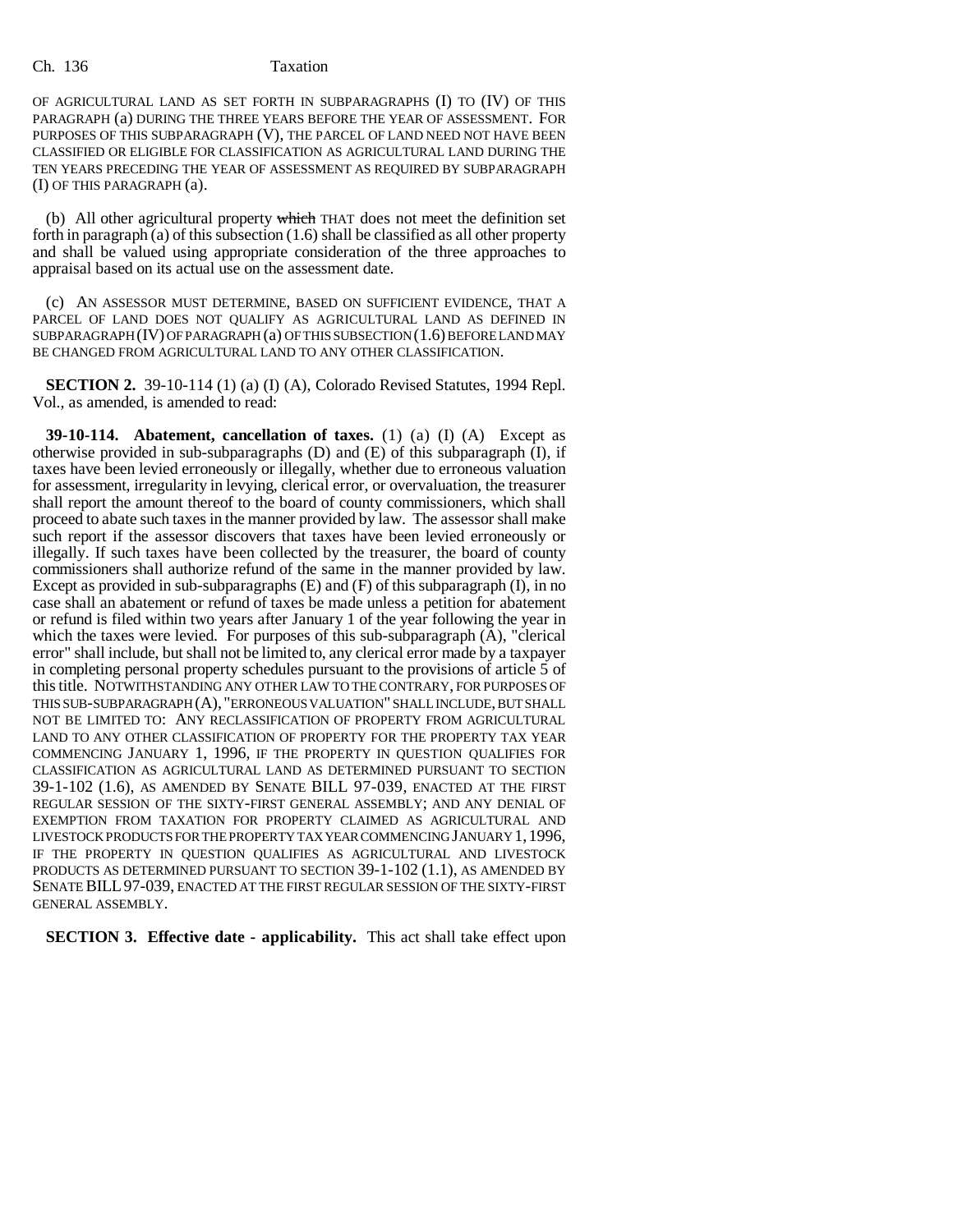Ch. 136 Taxation

OF AGRICULTURAL LAND AS SET FORTH IN SUBPARAGRAPHS (I) TO (IV) OF THIS PARAGRAPH (a) DURING THE THREE YEARS BEFORE THE YEAR OF ASSESSMENT. FOR PURPOSES OF THIS SUBPARAGRAPH (V), THE PARCEL OF LAND NEED NOT HAVE BEEN CLASSIFIED OR ELIGIBLE FOR CLASSIFICATION AS AGRICULTURAL LAND DURING THE TEN YEARS PRECEDING THE YEAR OF ASSESSMENT AS REQUIRED BY SUBPARAGRAPH (I) OF THIS PARAGRAPH (a).

(b) All other agricultural property which THAT does not meet the definition set forth in paragraph (a) of this subsection (1.6) shall be classified as all other property and shall be valued using appropriate consideration of the three approaches to appraisal based on its actual use on the assessment date.

(c) AN ASSESSOR MUST DETERMINE, BASED ON SUFFICIENT EVIDENCE, THAT A PARCEL OF LAND DOES NOT QUALIFY AS AGRICULTURAL LAND AS DEFINED IN SUBPARAGRAPH (IV) OF PARAGRAPH (a) OF THIS SUBSECTION (1.6) BEFORE LAND MAY BE CHANGED FROM AGRICULTURAL LAND TO ANY OTHER CLASSIFICATION.

**SECTION 2.** 39-10-114 (1) (a) (I) (A), Colorado Revised Statutes, 1994 Repl. Vol., as amended, is amended to read:

**39-10-114. Abatement, cancellation of taxes.** (1) (a) (I) (A) Except as otherwise provided in sub-subparagraphs  $(D)$  and  $(E)$  of this subparagraph  $(I)$ , if taxes have been levied erroneously or illegally, whether due to erroneous valuation for assessment, irregularity in levying, clerical error, or overvaluation, the treasurer shall report the amount thereof to the board of county commissioners, which shall proceed to abate such taxes in the manner provided by law. The assessor shall make such report if the assessor discovers that taxes have been levied erroneously or illegally. If such taxes have been collected by the treasurer, the board of county commissioners shall authorize refund of the same in the manner provided by law. Except as provided in sub-subparagraphs  $(E)$  and  $(F)$  of this subparagraph  $(I)$ , in no case shall an abatement or refund of taxes be made unless a petition for abatement or refund is filed within two years after January 1 of the year following the year in which the taxes were levied. For purposes of this sub-subparagraph (A), "clerical error" shall include, but shall not be limited to, any clerical error made by a taxpayer in completing personal property schedules pursuant to the provisions of article 5 of this title. NOTWITHSTANDING ANY OTHER LAW TO THE CONTRARY, FOR PURPOSES OF THIS SUB-SUBPARAGRAPH (A), "ERRONEOUS VALUATION" SHALL INCLUDE, BUT SHALL NOT BE LIMITED TO: ANY RECLASSIFICATION OF PROPERTY FROM AGRICULTURAL LAND TO ANY OTHER CLASSIFICATION OF PROPERTY FOR THE PROPERTY TAX YEAR COMMENCING JANUARY 1, 1996, IF THE PROPERTY IN QUESTION QUALIFIES FOR CLASSIFICATION AS AGRICULTURAL LAND AS DETERMINED PURSUANT TO SECTION 39-1-102 (1.6), AS AMENDED BY SENATE BILL 97-039, ENACTED AT THE FIRST REGULAR SESSION OF THE SIXTY-FIRST GENERAL ASSEMBLY; AND ANY DENIAL OF EXEMPTION FROM TAXATION FOR PROPERTY CLAIMED AS AGRICULTURAL AND LIVESTOCK PRODUCTS FOR THE PROPERTY TAX YEAR COMMENCING JANUARY 1,1996, IF THE PROPERTY IN QUESTION QUALIFIES AS AGRICULTURAL AND LIVESTOCK PRODUCTS AS DETERMINED PURSUANT TO SECTION 39-1-102 (1.1), AS AMENDED BY SENATE BILL97-039, ENACTED AT THE FIRST REGULAR SESSION OF THE SIXTY-FIRST GENERAL ASSEMBLY.

**SECTION 3. Effective date - applicability.** This act shall take effect upon